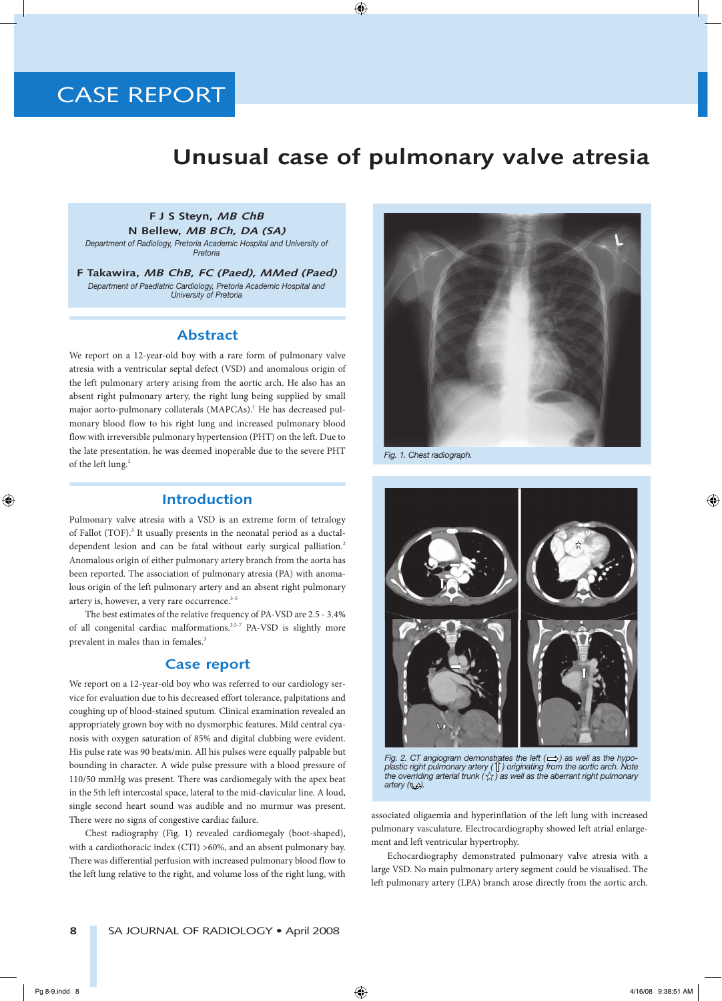# **CASE REPORT**

## **Unusual case of pulmonary valve atresia**

#### **F J S Steyn, MB ChB N Bellew, MB BCh, DA (SA)**

*Department of Radiology, Pretoria Academic Hospital and University of Pretoria*

**F Takawira, MB ChB, FC (Paed), MMed (Paed)** *Department of Paediatric Cardiology, Pretoria Academic Hospital and University of Pretoria*

#### **Abstract**

We report on a 12-year-old boy with a rare form of pulmonary valve atresia with a ventricular septal defect (VSD) and anomalous origin of the left pulmonary artery arising from the aortic arch. He also has an absent right pulmonary artery, the right lung being supplied by small major aorto-pulmonary collaterals (MAPCAs).<sup>1</sup> He has decreased pulmonary blood flow to his right lung and increased pulmonary blood flow with irreversible pulmonary hypertension (PHT) on the left. Due to the late presentation, he was deemed inoperable due to the severe PHT of the left lung.<sup>2</sup>

### **Introduction**

Pulmonary valve atresia with a VSD is an extreme form of tetralogy of Fallot (TOF).<sup>3</sup> It usually presents in the neonatal period as a ductaldependent lesion and can be fatal without early surgical palliation.<sup>2</sup> Anomalous origin of either pulmonary artery branch from the aorta has been reported. The association of pulmonary atresia (PA) with anomalous origin of the left pulmonary artery and an absent right pulmonary artery is, however, a very rare occurrence.<sup>3-5</sup>

The best estimates of the relative frequency of PA-VSD are 2.5 - 3.4% of all congenital cardiac malformations.<sup>3,5-7</sup> PA-VSD is slightly more prevalent in males than in females.<sup>3</sup>

### **Case report**

We report on a 12-year-old boy who was referred to our cardiology service for evaluation due to his decreased effort tolerance, palpitations and coughing up of blood-stained sputum. Clinical examination revealed an appropriately grown boy with no dysmorphic features. Mild central cyanosis with oxygen saturation of 85% and digital clubbing were evident. His pulse rate was 90 beats/min. All his pulses were equally palpable but bounding in character. A wide pulse pressure with a blood pressure of 110/50 mmHg was present. There was cardiomegaly with the apex beat in the 5th left intercostal space, lateral to the mid-clavicular line. A loud, single second heart sound was audible and no murmur was present. There were no signs of congestive cardiac failure.

Chest radiography (Fig. 1) revealed cardiomegaly (boot-shaped), with a cardiothoracic index (CTI) >60%, and an absent pulmonary bay. There was differential perfusion with increased pulmonary blood flow to the left lung relative to the right, and volume loss of the right lung, with



*Fig. 1. Chest radiograph.*



*Fig. 2. CT angiogram demonstrates the left*  $(\implies)$  as well as the hypo*plastic right pulmonary artery ( ) originating from the aortic arch. Note the overriding arterial trunk*  $(\sqrt{x})$  as well as the aberrant right pulmonary artery (**W**).

associated oligaemia and hyperinflation of the left lung with increased pulmonary vasculature. Electrocardiography showed left atrial enlargement and left ventricular hypertrophy.

Echocardiography demonstrated pulmonary valve atresia with a large VSD. No main pulmonary artery segment could be visualised. The left pulmonary artery (LPA) branch arose directly from the aortic arch.